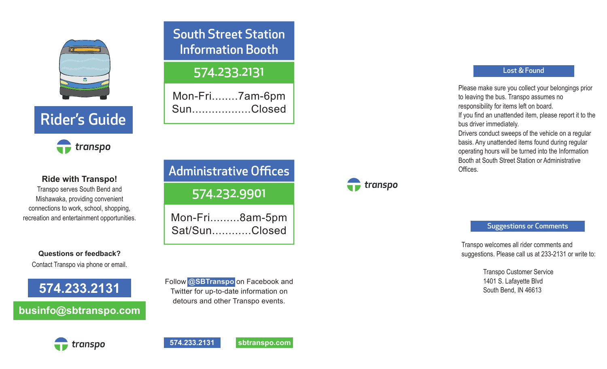

# Rider's Guide



**Ride with Transpo!** Transpo serves South Bend and Mishawaka, providing convenient

connections to work, school, shopping, recreation and entertainment opportunities.

**Questions or feedback?** Contact Transpo via phone or email.

**574.233.2131**

### **businfo@sbtranspo.com**

## South Street Station Information Booth

### 574.233.2131

Mon-Fri........7am-6pm Sun..................Closed

# Administrative Offices

574.232.9901

Mon-Fri.........8am-5pm Sat/Sun............Closed

Follow **@SBTranspo** on Facebook and Twitter for up-to-date information on detours and other Transpo events.

## $\blacksquare$  transpo

#### Lost & Found

Please make sure you collect your belongings prior to leaving the bus. Transpo assumes no responsibility for items left on board. If you find an unattended item, please report it to the bus driver immediately. Drivers conduct sweeps of the vehicle on a regular basis. Any unattended items found during regular operating hours will be turned into the Information Booth at South Street Station or Administrative

Offices.

Suggestions or Comments

Transpo welcomes all rider comments and suggestions. Please call us at 233-2131 or write to:

> Transpo Customer Service 1401 S. Lafayette Blvd South Bend, IN 46613